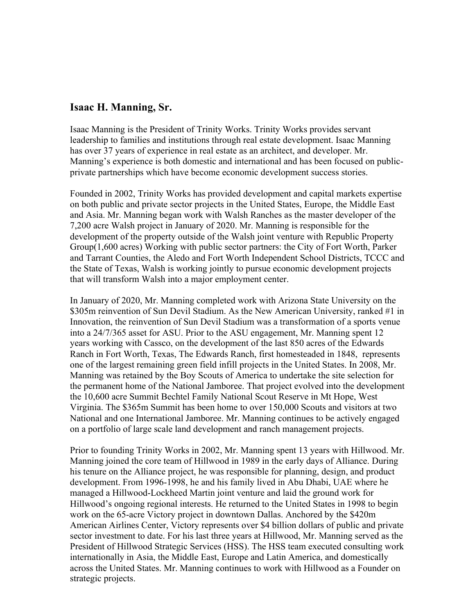## **Isaac H. Manning, Sr.**

Isaac Manning is the President of Trinity Works. Trinity Works provides servant leadership to families and institutions through real estate development. Isaac Manning has over 37 years of experience in real estate as an architect, and developer. Mr. Manning's experience is both domestic and international and has been focused on publicprivate partnerships which have become economic development success stories.

Founded in 2002, Trinity Works has provided development and capital markets expertise on both public and private sector projects in the United States, Europe, the Middle East and Asia. Mr. Manning began work with Walsh Ranches as the master developer of the 7,200 acre Walsh project in January of 2020. Mr. Manning is responsible for the development of the property outside of the Walsh joint venture with Republic Property Group(1,600 acres) Working with public sector partners: the City of Fort Worth, Parker and Tarrant Counties, the Aledo and Fort Worth Independent School Districts, TCCC and the State of Texas, Walsh is working jointly to pursue economic development projects that will transform Walsh into a major employment center.

In January of 2020, Mr. Manning completed work with Arizona State University on the \$305m reinvention of Sun Devil Stadium. As the New American University, ranked #1 in Innovation, the reinvention of Sun Devil Stadium was a transformation of a sports venue into a 24/7/365 asset for ASU. Prior to the ASU engagement, Mr. Manning spent 12 years working with Cassco, on the development of the last 850 acres of the Edwards Ranch in Fort Worth, Texas, The Edwards Ranch, first homesteaded in 1848, represents one of the largest remaining green field infill projects in the United States. In 2008, Mr. Manning was retained by the Boy Scouts of America to undertake the site selection for the permanent home of the National Jamboree. That project evolved into the development the 10,600 acre Summit Bechtel Family National Scout Reserve in Mt Hope, West Virginia. The \$365m Summit has been home to over 150,000 Scouts and visitors at two National and one International Jamboree. Mr. Manning continues to be actively engaged on a portfolio of large scale land development and ranch management projects.

Prior to founding Trinity Works in 2002, Mr. Manning spent 13 years with Hillwood. Mr. Manning joined the core team of Hillwood in 1989 in the early days of Alliance. During his tenure on the Alliance project, he was responsible for planning, design, and product development. From 1996-1998, he and his family lived in Abu Dhabi, UAE where he managed a Hillwood-Lockheed Martin joint venture and laid the ground work for Hillwood's ongoing regional interests. He returned to the United States in 1998 to begin work on the 65-acre Victory project in downtown Dallas. Anchored by the \$420m American Airlines Center, Victory represents over \$4 billion dollars of public and private sector investment to date. For his last three years at Hillwood, Mr. Manning served as the President of Hillwood Strategic Services (HSS). The HSS team executed consulting work internationally in Asia, the Middle East, Europe and Latin America, and domestically across the United States. Mr. Manning continues to work with Hillwood as a Founder on strategic projects.